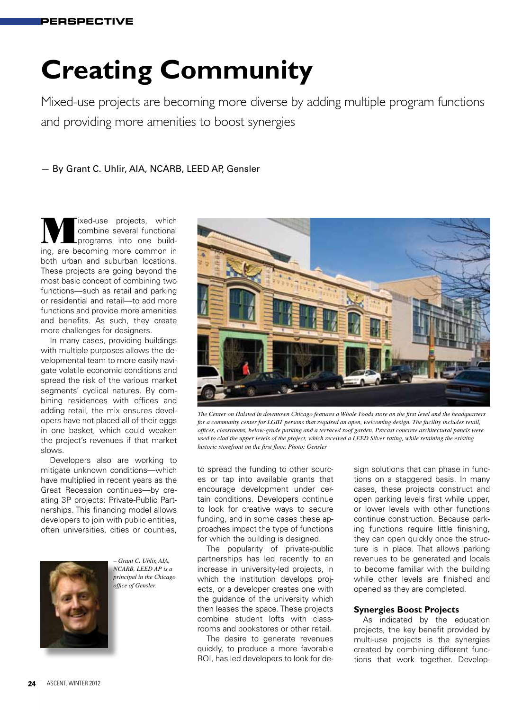# **Creating Community**

Mixed-use projects are becoming more diverse by adding multiple program functions and providing more amenities to boost synergies

— By Grant C. Uhlir, AIA, NCARB, LEED AP, Gensler

We lived-use projects, which<br>combine several functional<br>programs into one buildcombine several functional programs into one building, are becoming more common in both urban and suburban locations. These projects are going beyond the most basic concept of combining two functions—such as retail and parking or residential and retail—to add more functions and provide more amenities and benefits. As such, they create more challenges for designers.

In many cases, providing buildings with multiple purposes allows the developmental team to more easily navigate volatile economic conditions and spread the risk of the various market segments' cyclical natures. By combining residences with offices and adding retail, the mix ensures developers have not placed all of their eggs in one basket, which could weaken the project's revenues if that market slows.

Developers also are working to mitigate unknown conditions—which have multiplied in recent years as the Great Recession continues—by creating 3P projects: Private-Public Partnerships. This financing model allows developers to join with public entities, often universities, cities or counties,



*– Grant C. Uhlir, AIA, NCARB, LEED AP is a principal in the Chicago office of Gensler.* 



*The Center on Halsted in downtown Chicago features a Whole Foods store on the first level and the headquarters for a community center for LGBT persons that required an open, welcoming design. The facility includes retail, offices, classrooms, below-grade parking and a terraced roof garden. Precast concrete architectural panels were used to clad the upper levels of the project, which received a LEED Silver rating, while retaining the existing historic storefront on the first floor. Photo: Gensler* 

to spread the funding to other sources or tap into available grants that encourage development under certain conditions. Developers continue to look for creative ways to secure funding, and in some cases these approaches impact the type of functions for which the building is designed.

The popularity of private-public partnerships has led recently to an increase in university-led projects, in which the institution develops projects, or a developer creates one with the guidance of the university which then leases the space. These projects combine student lofts with classrooms and bookstores or other retail.

The desire to generate revenues quickly, to produce a more favorable ROI, has led developers to look for design solutions that can phase in functions on a staggered basis. In many cases, these projects construct and open parking levels first while upper, or lower levels with other functions continue construction. Because parking functions require little finishing, they can open quickly once the structure is in place. That allows parking revenues to be generated and locals to become familiar with the building while other levels are finished and opened as they are completed.

#### **Synergies Boost Projects**

As indicated by the education projects, the key benefit provided by multi-use projects is the synergies created by combining different functions that work together. Develop-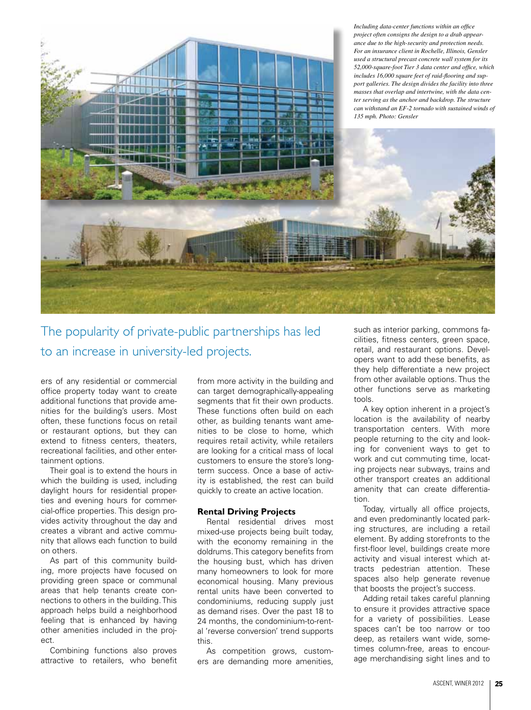

The popularity of private-public partnerships has led to an increase in university-led projects.

ers of any residential or commercial office property today want to create additional functions that provide amenities for the building's users. Most often, these functions focus on retail or restaurant options, but they can extend to fitness centers, theaters, recreational facilities, and other entertainment options.

Their goal is to extend the hours in which the building is used, including daylight hours for residential properties and evening hours for commercial-office properties. This design provides activity throughout the day and creates a vibrant and active community that allows each function to build on others.

As part of this community building, more projects have focused on providing green space or communal areas that help tenants create connections to others in the building. This approach helps build a neighborhood feeling that is enhanced by having other amenities included in the project.

Combining functions also proves attractive to retailers, who benefit

from more activity in the building and can target demographically-appealing segments that fit their own products. These functions often build on each other, as building tenants want amenities to be close to home, which requires retail activity, while retailers are looking for a critical mass of local customers to ensure the store's longterm success. Once a base of activity is established, the rest can build quickly to create an active location.

## **Rental Driving Projects**

Rental residential drives most mixed-use projects being built today, with the economy remaining in the doldrums. This category benefits from the housing bust, which has driven many homeowners to look for more economical housing. Many previous rental units have been converted to condominiums, reducing supply just as demand rises. Over the past 18 to 24 months, the condominium-to-rental 'reverse conversion' trend supports this.

As competition grows, customers are demanding more amenities, such as interior parking, commons facilities, fitness centers, green space, retail, and restaurant options. Developers want to add these benefits, as they help differentiate a new project from other available options. Thus the other functions serve as marketing tools.

A key option inherent in a project's location is the availability of nearby transportation centers. With more people returning to the city and looking for convenient ways to get to work and cut commuting time, locating projects near subways, trains and other transport creates an additional amenity that can create differentiation.

Today, virtually all office projects, and even predominantly located parking structures, are including a retail element. By adding storefronts to the first-floor level, buildings create more activity and visual interest which attracts pedestrian attention. These spaces also help generate revenue that boosts the project's success.

Adding retail takes careful planning to ensure it provides attractive space for a variety of possibilities. Lease spaces can't be too narrow or too deep, as retailers want wide, sometimes column-free, areas to encourage merchandising sight lines and to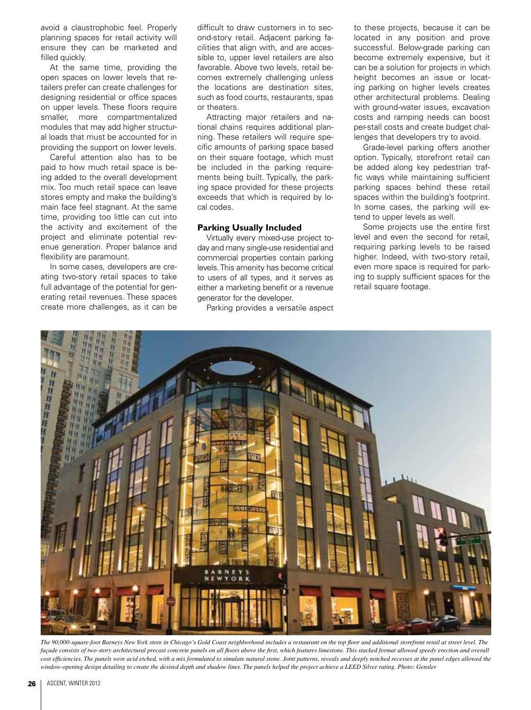avoid a claustrophobic feel. Properly planning spaces for retail activity will ensure they can be marketed and filled quickly.

At the same time, providing the open spaces on lower levels that retailers prefer can create challenges for designing residential or office spaces on upper levels. These floors require smaller, more compartmentalized modules that may add higher structural loads that must be accounted for in providing the support on lower levels.

Careful attention also has to be paid to how much retail space is being added to the overall development mix. Too much retail space can leave stores empty and make the building's main face feel stagnant. At the same time, providing too little can cut into the activity and excitement of the project and eliminate potential revenue generation. Proper balance and flexibility are paramount.

In some cases, developers are creating two-story retail spaces to take full advantage of the potential for generating retail revenues. These spaces create more challenges, as it can be difficult to draw customers in to second-story retail. Adjacent parking facilities that align with, and are accessible to, upper level retailers are also favorable. Above two levels, retail becomes extremely challenging unless the locations are destination sites, such as food courts, restaurants, spas or theaters.

Attracting major retailers and national chains requires additional planning. These retailers will require specific amounts of parking space based on their square footage, which must be included in the parking requirements being built. Typically, the parking space provided for these projects exceeds that which is required by local codes.

## **Parking Usually Included**

Virtually every mixed-use project today and many single-use residential and commercial properties contain parking levels. This amenity has become critical to users of all types, and it serves as either a marketing benefit or a revenue generator for the developer.

Parking provides a versatile aspect

to these projects, because it can be located in any position and prove successful. Below-grade parking can become extremely expensive, but it can be a solution for projects in which height becomes an issue or locating parking on higher levels creates other architectural problems. Dealing with ground-water issues, excavation costs and ramping needs can boost per-stall costs and create budget challenges that developers try to avoid.

Grade-level parking offers another option. Typically, storefront retail can be added along key pedestrian traffic ways while maintaining sufficient parking spaces behind these retail spaces within the building's footprint. In some cases, the parking will extend to upper levels as well.

Some projects use the entire first level and even the second for retail, requiring parking levels to be raised higher. Indeed, with two-story retail, even more space is required for parking to supply sufficient spaces for the retail square footage.



*The 90,000-square-foot Barneys New York store in Chicago's Gold Coast neighborhood includes a restaurant on the top floor and additional storefront retail at street level. The*  façade consists of two-story architectural precast concrete panels on all floors above the first, which features limestone. This stacked format allowed speedy erection and overall cost efficiencies. The panels were acid etched, with a mix formulated to simulate natural stone. Joint patterns, reveals and deeply notched recesses at the panel edges allowed the *window-opening design detailing to create the desired depth and shadow lines. The panels helped the project achieve a LEED Silver rating. Photo: Gensler*